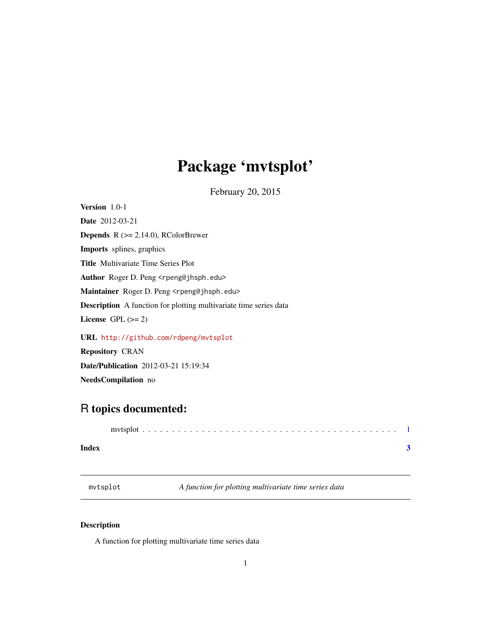## <span id="page-0-0"></span>Package 'mvtsplot'

February 20, 2015

Version 1.0-1 Date 2012-03-21 **Depends** R  $(>= 2.14.0)$ , RColorBrewer Imports splines, graphics Title Multivariate Time Series Plot Author Roger D. Peng <rpeng@jhsph.edu> Maintainer Roger D. Peng <rpeng@jhsph.edu> Description A function for plotting multivariate time series data License GPL  $(>= 2)$ 

URL <http://github.com/rdpeng/mvtsplot> Repository CRAN Date/Publication 2012-03-21 15:19:34 NeedsCompilation no

### R topics documented:

| Index |  |  |
|-------|--|--|

mvtsplot *A function for plotting multivariate time series data*

#### Description

A function for plotting multivariate time series data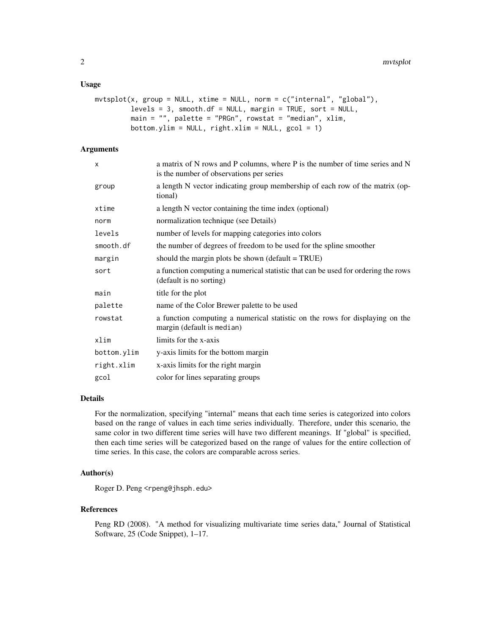#### Usage

```
mvtsplit(x, group = NULL, xtime = NULL, norm = c("internal", "global"),levels = 3, smooth.df = NULL, margin = TRUE, sort = NULL,
main = "", palette = "PRGn", rowstat = "median", xlim,
 bottom.ylim = NULL, right.xlim = NULL, gcol = 1)
```
#### Arguments

| X           | a matrix of N rows and P columns, where P is the number of time series and N<br>is the number of observations per series |
|-------------|--------------------------------------------------------------------------------------------------------------------------|
| group       | a length N vector indicating group membership of each row of the matrix (op-<br>tional)                                  |
| xtime       | a length N vector containing the time index (optional)                                                                   |
| norm        | normalization technique (see Details)                                                                                    |
| levels      | number of levels for mapping categories into colors                                                                      |
| smooth.df   | the number of degrees of freedom to be used for the spline smoother                                                      |
| margin      | should the margin plots be shown (default $= TRUE$ )                                                                     |
| sort        | a function computing a numerical statistic that can be used for ordering the rows<br>(default is no sorting)             |
| main        | title for the plot                                                                                                       |
| palette     | name of the Color Brewer palette to be used                                                                              |
| rowstat     | a function computing a numerical statistic on the rows for displaying on the<br>margin (default is median)               |
| xlim        | limits for the x-axis                                                                                                    |
| bottom.ylim | y-axis limits for the bottom margin                                                                                      |
| right.xlim  | x-axis limits for the right margin                                                                                       |
| gcol        | color for lines separating groups                                                                                        |

#### Details

For the normalization, specifying "internal" means that each time series is categorized into colors based on the range of values in each time series individually. Therefore, under this scenario, the same color in two different time series will have two different meanings. If "global" is specified, then each time series will be categorized based on the range of values for the entire collection of time series. In this case, the colors are comparable across series.

#### Author(s)

Roger D. Peng <rpeng@jhsph.edu>

#### References

Peng RD (2008). "A method for visualizing multivariate time series data," Journal of Statistical Software, 25 (Code Snippet), 1–17.